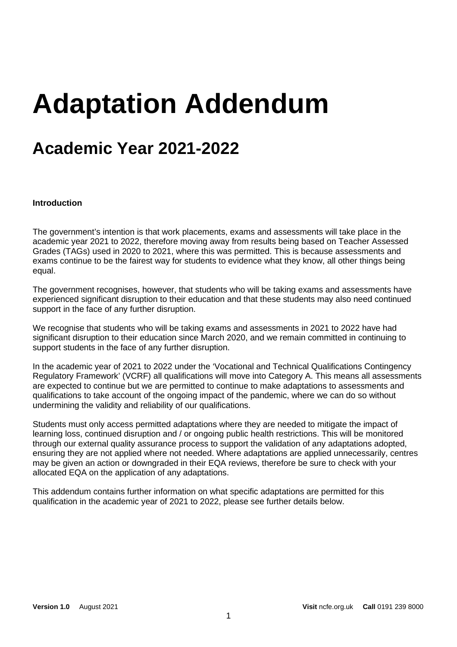# **Adaptation Addendum**

# **Academic Year 2021-2022**

#### **Introduction**

The government's intention is that work placements, exams and assessments will take place in the academic year 2021 to 2022, therefore moving away from results being based on Teacher Assessed Grades (TAGs) used in 2020 to 2021, where this was permitted. This is because assessments and exams continue to be the fairest way for students to evidence what they know, all other things being equal.

The government recognises, however, that students who will be taking exams and assessments have experienced significant disruption to their education and that these students may also need continued support in the face of any further disruption.

We recognise that students who will be taking exams and assessments in 2021 to 2022 have had significant disruption to their education since March 2020, and we remain committed in continuing to support students in the face of any further disruption.

In the academic year of 2021 to 2022 under the 'Vocational and Technical Qualifications Contingency Regulatory Framework' (VCRF) all qualifications will move into Category A. This means all assessments are expected to continue but we are permitted to continue to make adaptations to assessments and qualifications to take account of the ongoing impact of the pandemic, where we can do so without undermining the validity and reliability of our qualifications.

Students must only access permitted adaptations where they are needed to mitigate the impact of learning loss, continued disruption and / or ongoing public health restrictions. This will be monitored through our external quality assurance process to support the validation of any adaptations adopted, ensuring they are not applied where not needed. Where adaptations are applied unnecessarily, centres may be given an action or downgraded in their EQA reviews, therefore be sure to check with your allocated EQA on the application of any adaptations.

This addendum contains further information on what specific adaptations are permitted for this qualification in the academic year of 2021 to 2022, please see further details below.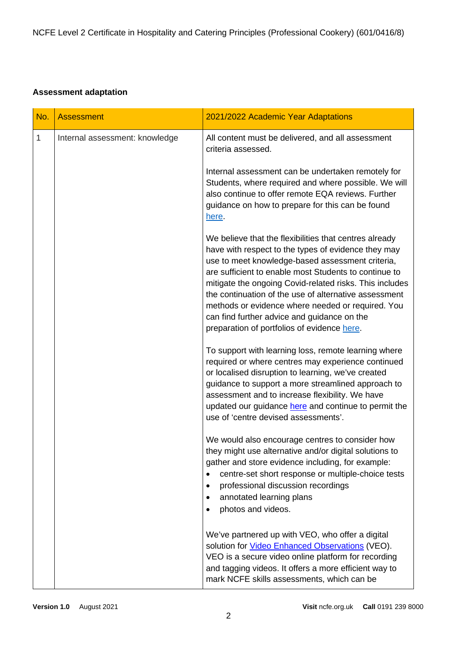## **Assessment adaptation**

| No.          | <b>Assessment</b>              | 2021/2022 Academic Year Adaptations                                                                                                                                                                                                                                                                                                                                                                                                                                                               |
|--------------|--------------------------------|---------------------------------------------------------------------------------------------------------------------------------------------------------------------------------------------------------------------------------------------------------------------------------------------------------------------------------------------------------------------------------------------------------------------------------------------------------------------------------------------------|
| $\mathbf{1}$ | Internal assessment: knowledge | All content must be delivered, and all assessment<br>criteria assessed.                                                                                                                                                                                                                                                                                                                                                                                                                           |
|              |                                | Internal assessment can be undertaken remotely for<br>Students, where required and where possible. We will<br>also continue to offer remote EQA reviews. Further<br>guidance on how to prepare for this can be found<br>here.                                                                                                                                                                                                                                                                     |
|              |                                | We believe that the flexibilities that centres already<br>have with respect to the types of evidence they may<br>use to meet knowledge-based assessment criteria,<br>are sufficient to enable most Students to continue to<br>mitigate the ongoing Covid-related risks. This includes<br>the continuation of the use of alternative assessment<br>methods or evidence where needed or required. You<br>can find further advice and guidance on the<br>preparation of portfolios of evidence here. |
|              |                                | To support with learning loss, remote learning where<br>required or where centres may experience continued<br>or localised disruption to learning, we've created<br>guidance to support a more streamlined approach to<br>assessment and to increase flexibility. We have<br>updated our guidance here and continue to permit the<br>use of 'centre devised assessments'.                                                                                                                         |
|              |                                | We would also encourage centres to consider how<br>they might use alternative and/or digital solutions to<br>gather and store evidence including, for example:<br>centre-set short response or multiple-choice tests<br>$\bullet$<br>professional discussion recordings<br>$\bullet$<br>annotated learning plans<br>$\bullet$<br>photos and videos.<br>$\bullet$                                                                                                                                  |
|              |                                | We've partnered up with VEO, who offer a digital<br>solution for <b>Video Enhanced Observations</b> (VEO).<br>VEO is a secure video online platform for recording<br>and tagging videos. It offers a more efficient way to<br>mark NCFE skills assessments, which can be                                                                                                                                                                                                                          |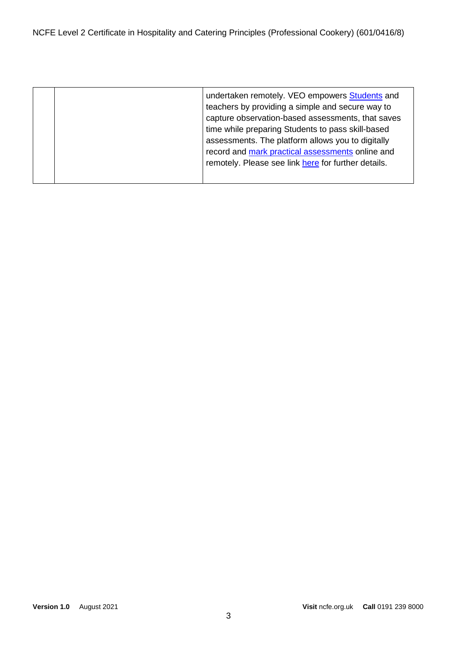|  | undertaken remotely. VEO empowers Students and<br>teachers by providing a simple and secure way to<br>capture observation-based assessments, that saves<br>time while preparing Students to pass skill-based<br>assessments. The platform allows you to digitally<br>record and mark practical assessments online and<br>remotely. Please see link here for further details. |
|--|------------------------------------------------------------------------------------------------------------------------------------------------------------------------------------------------------------------------------------------------------------------------------------------------------------------------------------------------------------------------------|
|  |                                                                                                                                                                                                                                                                                                                                                                              |